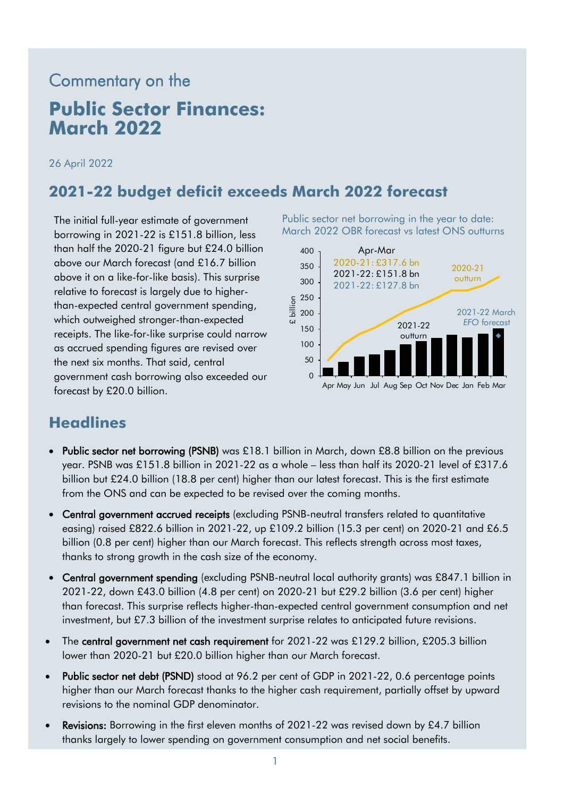# Commentary on the

## **Public Sector Finances: March 2022**

26 April 2022

#### **2021-22 budget deficit exceeds March 2022 forecast**

The initial full-year estimate of government borrowing in 2021-22 is £151.8 billion, less than half the 2020-21 figure but £24.0 billion above our March forecast (and £16.7 billion above it on a like-for-like basis). This surprise relative to forecast is largely due to higherthan-expected central government spending, which outweighed stronger-than-expected receipts. The like-for-like surprise could narrow as accrued spending figures are revised over the next six months. That said, central government cash borrowing also exceeded our forecast by £20.0 billion.

Public sector net borrowing in the year to date: March 2022 OBR forecast vs latest ONS outturns



### **Headlines**

- Public sector net borrowing (PSNB) was £18.1 billion in March, down £8.8 billion on the previous year. PSNB was £151.8 billion in 2021-22 as a whole – less than half its 2020-21 level of £317.6 billion but £24.0 billion (18.8 per cent) higher than our latest forecast. This is the first estimate from the ONS and can be expected to be revised over the coming months.
- Central government accrued receipts (excluding PSNB-neutral transfers related to quantitative easing) raised £822.6 billion in 2021-22, up £109.2 billion (15.3 per cent) on 2020-21 and £6.5 billion (0.8 per cent) higher than our March forecast. This reflects strength across most taxes, thanks to strong growth in the cash size of the economy.
- Central government spending (excluding PSNB-neutral local authority grants) was £847.1 billion in 2021-22, down £43.0 billion (4.8 per cent) on 2020-21 but £29.2 billion (3.6 per cent) higher than forecast. This surprise reflects higher-than-expected central government consumption and net investment, but £7.3 billion of the investment surprise relates to anticipated future revisions.
- The central government net cash requirement for 2021-22 was £129.2 billion, £205.3 billion lower than 2020-21 but £20.0 billion higher than our March forecast.
- Public sector net debt (PSND) stood at 96.2 per cent of GDP in 2021-22, 0.6 percentage points higher than our March forecast thanks to the higher cash requirement, partially offset by upward revisions to the nominal GDP denominator.
- Revisions: Borrowing in the first eleven months of 2021-22 was revised down by £4.7 billion thanks largely to lower spending on government consumption and net social benefits.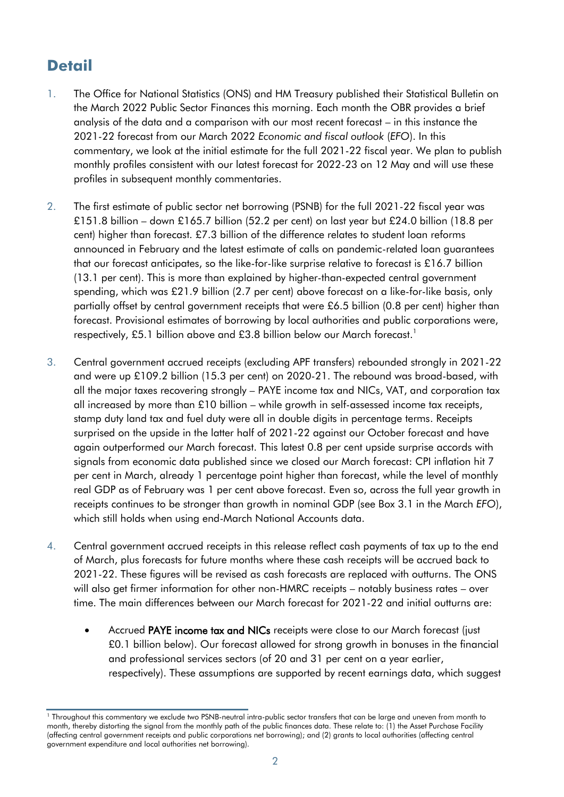### **Detail**

- 1. The Office for National Statistics (ONS) and HM Treasury published their Statistical Bulletin on the March 2022 Public Sector Finances this morning. Each month the OBR provides a brief analysis of the data and a comparison with our most recent forecast – in this instance the 2021-22 forecast from our March 2022 *Economic and fiscal outlook* (*EFO*). In this commentary, we look at the initial estimate for the full 2021-22 fiscal year. We plan to publish monthly profiles consistent with our latest forecast for 2022-23 on 12 May and will use these profiles in subsequent monthly commentaries.
- 2. The first estimate of public sector net borrowing (PSNB) for the full 2021-22 fiscal year was £151.8 billion – down £165.7 billion (52.2 per cent) on last year but £24.0 billion (18.8 per cent) higher than forecast. £7.3 billion of the difference relates to student loan reforms announced in February and the latest estimate of calls on pandemic-related loan guarantees that our forecast anticipates, so the like-for-like surprise relative to forecast is £16.7 billion (13.1 per cent). This is more than explained by higher-than-expected central government spending, which was £21.9 billion (2.7 per cent) above forecast on a like-for-like basis, only partially offset by central government receipts that were £6.5 billion (0.8 per cent) higher than forecast. Provisional estimates of borrowing by local authorities and public corporations were, respectively, £5.1 billion above and £3.8 billion below our March forecast. 1
- 3. Central government accrued receipts (excluding APF transfers) rebounded strongly in 2021-22 and were up £109.2 billion (15.3 per cent) on 2020-21. The rebound was broad-based, with all the major taxes recovering strongly – PAYE income tax and NICs, VAT, and corporation tax all increased by more than £10 billion – while growth in self-assessed income tax receipts, stamp duty land tax and fuel duty were all in double digits in percentage terms. Receipts surprised on the upside in the latter half of 2021-22 against our October forecast and have again outperformed our March forecast. This latest 0.8 per cent upside surprise accords with signals from economic data published since we closed our March forecast: CPI inflation hit 7 per cent in March, already 1 percentage point higher than forecast, while the level of monthly real GDP as of February was 1 per cent above forecast. Even so, across the full year growth in receipts continues to be stronger than growth in nominal GDP (see Box 3.1 in the March *EFO*), which still holds when using end-March National Accounts data.
- 4. Central government accrued receipts in this release reflect cash payments of tax up to the end of March, plus forecasts for future months where these cash receipts will be accrued back to 2021-22. These figures will be revised as cash forecasts are replaced with outturns. The ONS will also get firmer information for other non-HMRC receipts – notably business rates – over time. The main differences between our March forecast for 2021-22 and initial outturns are:
	- Accrued PAYE income tax and NICs receipts were close to our March forecast (just £0.1 billion below). Our forecast allowed for strong growth in bonuses in the financial and professional services sectors (of 20 and 31 per cent on a year earlier, respectively). These assumptions are supported by recent earnings data, which suggest

<sup>1</sup> Throughout this commentary we exclude two PSNB-neutral intra-public sector transfers that can be large and uneven from month to month, thereby distorting the signal from the monthly path of the public finances data. These relate to: (1) the Asset Purchase Facility (affecting central government receipts and public corporations net borrowing); and (2) grants to local authorities (affecting central government expenditure and local authorities net borrowing).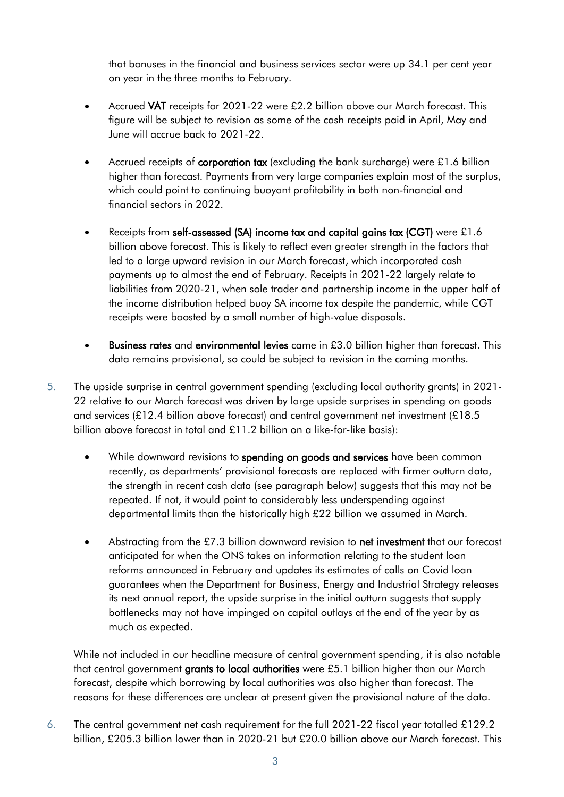that bonuses in the financial and business services sector were up 34.1 per cent year on year in the three months to February.

- Accrued VAT receipts for 2021-22 were £2.2 billion above our March forecast. This figure will be subject to revision as some of the cash receipts paid in April, May and June will accrue back to 2021-22.
- Accrued receipts of **corporation tax** (excluding the bank surcharge) were  $£1.6$  billion higher than forecast. Payments from very large companies explain most of the surplus, which could point to continuing buoyant profitability in both non-financial and financial sectors in 2022.
- Receipts from self-assessed (SA) income tax and capital gains tax (CGT) were £1.6 billion above forecast. This is likely to reflect even greater strength in the factors that led to a large upward revision in our March forecast, which incorporated cash payments up to almost the end of February. Receipts in 2021-22 largely relate to liabilities from 2020-21, when sole trader and partnership income in the upper half of the income distribution helped buoy SA income tax despite the pandemic, while CGT receipts were boosted by a small number of high-value disposals.
- Business rates and environmental levies came in £3.0 billion higher than forecast. This data remains provisional, so could be subject to revision in the coming months.
- 5. The upside surprise in central government spending (excluding local authority grants) in 2021- 22 relative to our March forecast was driven by large upside surprises in spending on goods and services (£12.4 billion above forecast) and central government net investment (£18.5 billion above forecast in total and £11.2 billion on a like-for-like basis):
	- While downward revisions to spending on goods and services have been common recently, as departments' provisional forecasts are replaced with firmer outturn data, the strength in recent cash data (see paragraph below) suggests that this may not be repeated. If not, it would point to considerably less underspending against departmental limits than the historically high £22 billion we assumed in March.
	- Abstracting from the £7.3 billion downward revision to net investment that our forecast anticipated for when the ONS takes on information relating to the student loan reforms announced in February and updates its estimates of calls on Covid loan guarantees when the Department for Business, Energy and Industrial Strategy releases its next annual report, the upside surprise in the initial outturn suggests that supply bottlenecks may not have impinged on capital outlays at the end of the year by as much as expected.

While not included in our headline measure of central government spending, it is also notable that central government grants to local authorities were £5.1 billion higher than our March forecast, despite which borrowing by local authorities was also higher than forecast. The reasons for these differences are unclear at present given the provisional nature of the data.

6. The central government net cash requirement for the full 2021-22 fiscal year totalled £129.2 billion, £205.3 billion lower than in 2020-21 but £20.0 billion above our March forecast. This